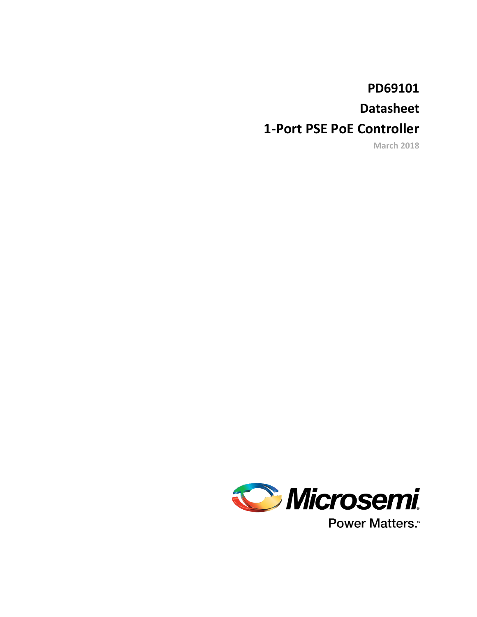# **PD69101**

# **Datasheet**

# **1-Port PSE PoE Controller**

**March 2018**

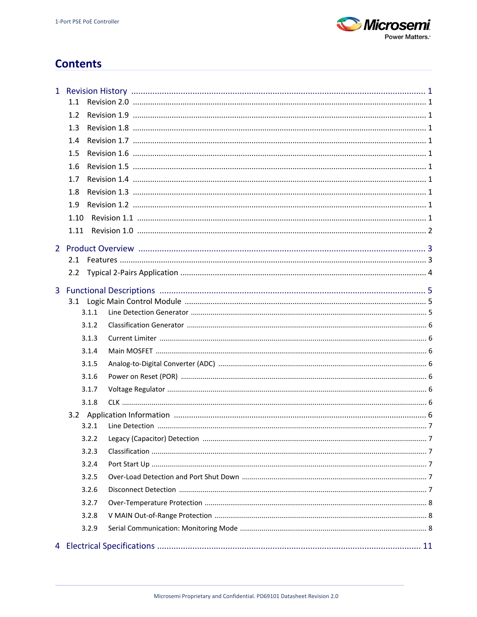

# **Contents**

| 1.1           |  |
|---------------|--|
| 1.2           |  |
| 1.3           |  |
| 1.4           |  |
| 1.5           |  |
| 1.6           |  |
| 1.7           |  |
|               |  |
| 1.8           |  |
| 1.9           |  |
| 1.10          |  |
| 1.11          |  |
|               |  |
| 2.1           |  |
| $2.2^{\circ}$ |  |
|               |  |
|               |  |
| 3.1.1         |  |
| 3.1.2         |  |
| 3.1.3         |  |
| 3.1.4         |  |
| 3.1.5         |  |
| 3.1.6         |  |
| 3.1.7         |  |
| 3.1.8         |  |
|               |  |
| 3.2.1         |  |
| 3.2.2         |  |
| 3.2.3         |  |
| 3.2.4         |  |
| 3.2.5         |  |
| 3.2.6         |  |
| 3.2.7         |  |
| 3.2.8         |  |
| 3.2.9         |  |
|               |  |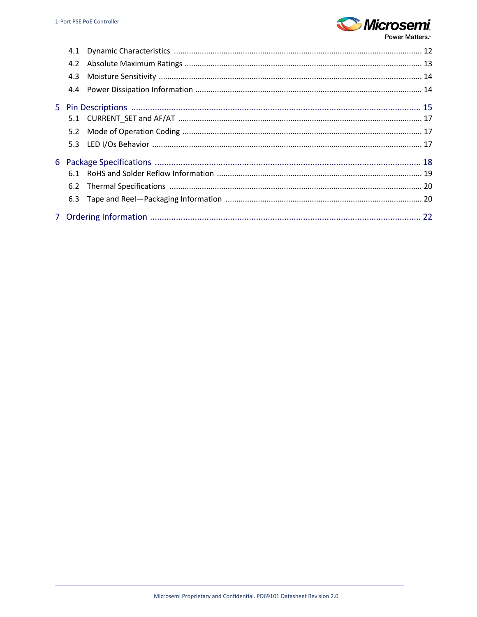

**Power Matters.** 

| 4.3 |  |
|-----|--|
|     |  |
|     |  |
|     |  |
|     |  |
|     |  |
|     |  |
|     |  |
|     |  |
|     |  |
|     |  |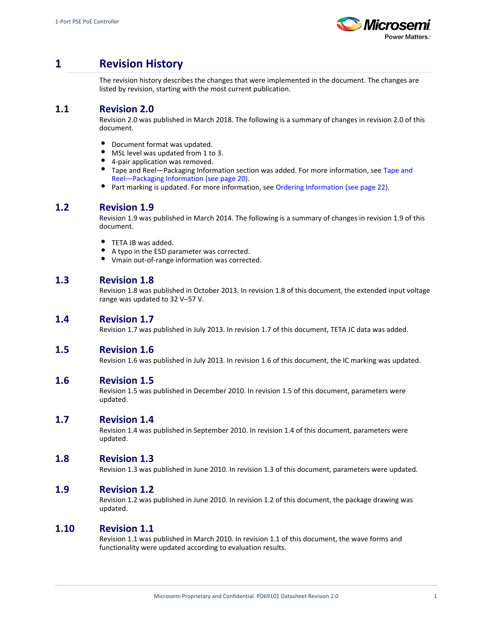

# <span id="page-3-0"></span>**1 Revision History**

The revision history describes the changes that were implemented in the document. The changes are listed by revision, starting with the most current publication.

# <span id="page-3-1"></span>**1.1 Revision 2.0**

Revision 2.0 was published in March 2018. The following is a summary of changes in revision 2.0 of this document.

- $\bullet$ Document format was updated.
- $\bullet$ MSL level was updated from 1 to 3.
- $\bullet$ 4-pair application was removed.
- **[Tape and](#page-22-1) Reel—Packaging Information section was added. For more information, see Tape and** [Reel—Packaging Information \(see page 20\)](#page-22-1).
- Part marking is updated. For more information, see [Ordering Information \(see page 22\).](#page-24-0)

## <span id="page-3-2"></span>**1.2 Revision 1.9**

Revision 1.9 was published in March 2014. The following is a summary of changes in revision 1.9 of this document.

- $\bullet$ TETA JB was added.
- $\bullet$ A typo in the ESD parameter was corrected.
- $\bullet$ Vmain out-of-range information was corrected.

# <span id="page-3-3"></span>**1.3 Revision 1.8**

Revision 1.8 was published in October 2013. In revision 1.8 of this document, the extended input voltage range was updated to 32 V–57 V.

## <span id="page-3-4"></span>**1.4 Revision 1.7**

Revision 1.7 was published in July 2013. In revision 1.7 of this document, TETA JC data was added.

## <span id="page-3-5"></span>**1.5 Revision 1.6**

Revision 1.6 was published in July 2013. In revision 1.6 of this document, the IC marking was updated.

## <span id="page-3-6"></span>**1.6 Revision 1.5**

Revision 1.5 was published in December 2010. In revision 1.5 of this document, parameters were updated.

## <span id="page-3-7"></span>**1.7 Revision 1.4**

Revision 1.4 was published in September 2010. In revision 1.4 of this document, parameters were updated.

## <span id="page-3-8"></span>**1.8 Revision 1.3**

Revision 1.3 was published in June 2010. In revision 1.3 of this document, parameters were updated.

## <span id="page-3-9"></span>**1.9 Revision 1.2**

Revision 1.2 was published in June 2010. In revision 1.2 of this document, the package drawing was updated.

## <span id="page-3-10"></span>**1.10 Revision 1.1**

Revision 1.1 was published in March 2010. In revision 1.1 of this document, the wave forms and functionality were updated according to evaluation results.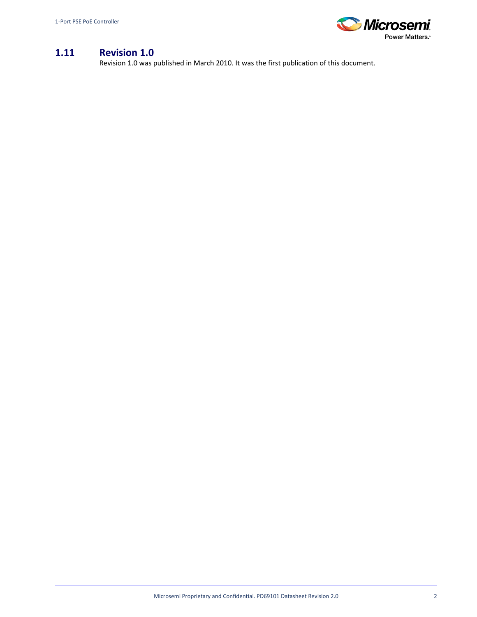

# <span id="page-4-0"></span>**1.11 Revision 1.0**

Revision 1.0 was published in March 2010. It was the first publication of this document.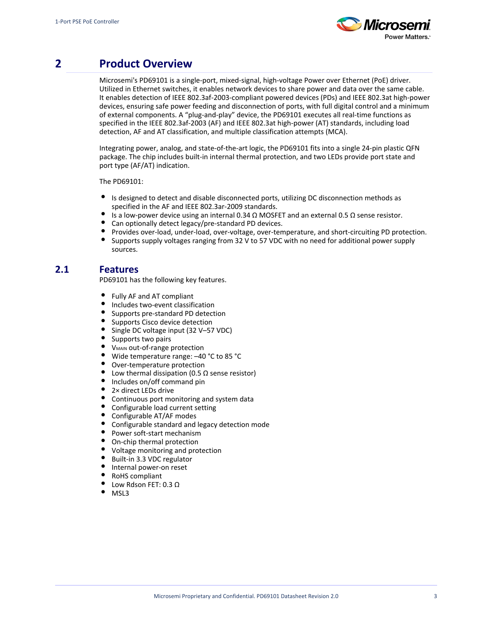

# <span id="page-5-0"></span>**2 Product Overview**

Microsemi's PD69101 is a single-port, mixed-signal, high-voltage Power over Ethernet (PoE) driver. Utilized in Ethernet switches, it enables network devices to share power and data over the same cable. It enables detection of IEEE 802.3af-2003-compliant powered devices (PDs) and IEEE 802.3at high-power devices, ensuring safe power feeding and disconnection of ports, with full digital control and a minimum of external components. A "plug-and-play" device, the PD69101 executes all real-time functions as specified in the IEEE 802.3af-2003 (AF) and IEEE 802.3at high-power (AT) standards, including load detection, AF and AT classification, and multiple classification attempts (MCA).

Integrating power, analog, and state-of-the-art logic, the PD69101 fits into a single 24-pin plastic QFN package. The chip includes built-in internal thermal protection, and two LEDs provide port state and port type (AF/AT) indication.

The PD69101:

- $\bullet$ Is designed to detect and disable disconnected ports, utilizing DC disconnection methods as specified in the AF and IEEE 802.3ar-2009 standards.
- $\bullet$ Is a low-power device using an internal 0.34 Ω MOSFET and an external 0.5 Ω sense resistor.
- Can optionally detect legacy/pre-standard PD devices.
- Provides over-load, under-load, over-voltage, over-temperature, and short-circuiting PD protection.
- $\bullet$ Supports supply voltages ranging from 32 V to 57 VDC with no need for additional power supply sources.

# <span id="page-5-1"></span>**2.1 Features**

PD69101 has the following key features.

- $\bullet$ Fully AF and AT compliant
- $\bullet$ Includes two-event classification
- $\bullet$ Supports pre-standard PD detection
- $\bullet$ Supports Cisco device detection
- $\bullet$ Single DC voltage input (32 V–57 VDC)
- $\bullet$ Supports two pairs
- $\bullet$ V<sub>MAIN</sub> out-of-range protection
- $\bullet$ Wide temperature range: –40 °C to 85 °C
- $\bullet$ Over-temperature protection
- $\bullet$ Low thermal dissipation (0.5  $\Omega$  sense resistor)
- $\bullet$ Includes on/off command pin
- $\bullet$ 2× direct LEDs drive
- $\bullet$ Continuous port monitoring and system data
- $\bullet$ Configurable load current setting
- $\bullet$ Configurable AT/AF modes
- $\bullet$ Configurable standard and legacy detection mode
- $\bullet$ Power soft-start mechanism
- $\bullet$ On-chip thermal protection
- Voltage monitoring and protection
- Built-in 3.3 VDC regulator
- Internal power-on reset
- RoHS compliant
- Low Rdson FET: 0.3 Ω
- MSL3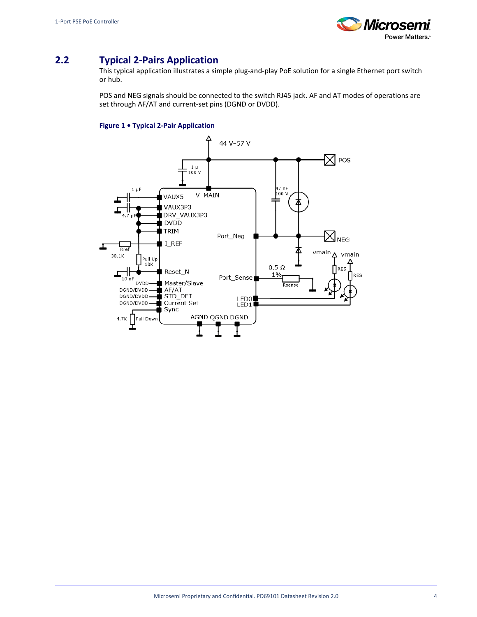

# <span id="page-6-0"></span>**2.2 Typical 2-Pairs Application**

This typical application illustrates a simple plug-and-play PoE solution for a single Ethernet port switch or hub.

POS and NEG signals should be connected to the switch RJ45 jack. AF and AT modes of operations are set through AF/AT and current-set pins (DGND or DVDD).

### **Figure 1 • Typical 2-Pair Application**

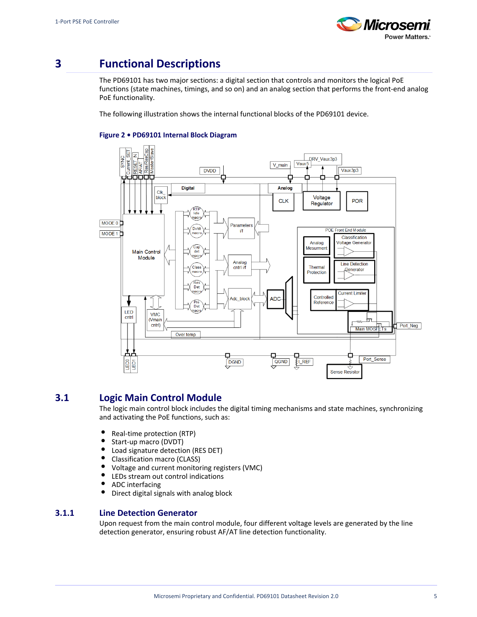

# <span id="page-7-0"></span>**3 Functional Descriptions**

The PD69101 has two major sections: a digital section that controls and monitors the logical PoE functions (state machines, timings, and so on) and an analog section that performs the front-end analog PoE functionality.

The following illustration shows the internal functional blocks of the PD69101 device.



### **Figure 2 • PD69101 Internal Block Diagram**

## <span id="page-7-1"></span>**3.1 Logic Main Control Module**

The logic main control block includes the digital timing mechanisms and state machines, synchronizing and activating the PoE functions, such as:

- $\bullet$ Real-time protection (RTP)
- $\bullet$ Start-up macro (DVDT)
- $\bullet$ Load signature detection (RES DET)
- $\bullet$ Classification macro (CLASS)
- $\bullet$ Voltage and current monitoring registers (VMC)
- $\bullet$ LEDs stream out control indications
- $\bullet$ ADC interfacing
- $\bullet$ Direct digital signals with analog block

### <span id="page-7-2"></span>**3.1.1 Line Detection Generator**

Upon request from the main control module, four different voltage levels are generated by the line detection generator, ensuring robust AF/AT line detection functionality.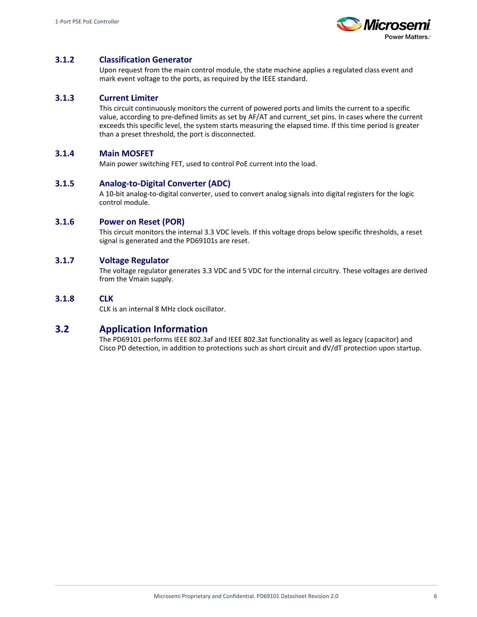

## <span id="page-8-0"></span>**3.1.2 Classification Generator**

Upon request from the main control module, the state machine applies a regulated class event and mark event voltage to the ports, as required by the IEEE standard.

### <span id="page-8-1"></span>**3.1.3 Current Limiter**

This circuit continuously monitors the current of powered ports and limits the current to a specific value, according to pre-defined limits as set by AF/AT and current\_set pins. In cases where the current exceeds this specific level, the system starts measuring the elapsed time. If this time period is greater than a preset threshold, the port is disconnected.

### <span id="page-8-2"></span>**3.1.4 Main MOSFET**

Main power switching FET, used to control PoE current into the load.

### <span id="page-8-3"></span>**3.1.5 Analog-to-Digital Converter (ADC)**

A 10-bit analog-to-digital converter, used to convert analog signals into digital registers for the logic control module.

### <span id="page-8-4"></span>**3.1.6 Power on Reset (POR)**

This circuit monitors the internal 3.3 VDC levels. If this voltage drops below specific thresholds, a reset signal is generated and the PD69101s are reset.

### <span id="page-8-5"></span>**3.1.7 Voltage Regulator**

The voltage regulator generates 3.3 VDC and 5 VDC for the internal circuitry. These voltages are derived from the Vmain supply.

### <span id="page-8-6"></span>**3.1.8 CLK**

CLK is an internal 8 MHz clock oscillator.

## <span id="page-8-7"></span>**3.2 Application Information**

The PD69101 performs IEEE 802.3af and IEEE 802.3at functionality as well as legacy (capacitor) and Cisco PD detection, in addition to protections such as short circuit and dV/dT protection upon startup.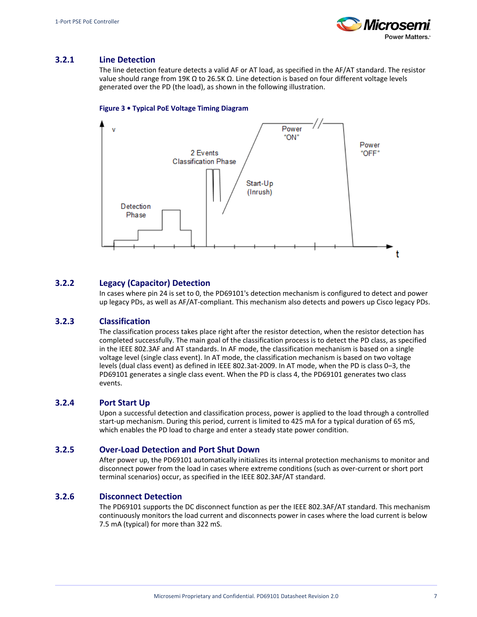

## <span id="page-9-0"></span>**3.2.1 Line Detection**

The line detection feature detects a valid AF or AT load, as specified in the AF/AT standard. The resistor value should range from 19K Ω to 26.5K Ω. Line detection is based on four different voltage levels generated over the PD (the load), as shown in the following illustration.

#### **Figure 3 • Typical PoE Voltage Timing Diagram**



## <span id="page-9-1"></span>**3.2.2 Legacy (Capacitor) Detection**

In cases where pin 24 is set to 0, the PD69101's detection mechanism is configured to detect and power up legacy PDs, as well as AF/AT-compliant. This mechanism also detects and powers up Cisco legacy PDs.

### <span id="page-9-2"></span>**3.2.3 Classification**

The classification process takes place right after the resistor detection, when the resistor detection has completed successfully. The main goal of the classification process is to detect the PD class, as specified in the IEEE 802.3AF and AT standards. In AF mode, the classification mechanism is based on a single voltage level (single class event). In AT mode, the classification mechanism is based on two voltage levels (dual class event) as defined in IEEE 802.3at-2009. In AT mode, when the PD is class 0–3, the PD69101 generates a single class event. When the PD is class 4, the PD69101 generates two class events.

### <span id="page-9-3"></span>**3.2.4 Port Start Up**

Upon a successful detection and classification process, power is applied to the load through a controlled start-up mechanism. During this period, current is limited to 425 mA for a typical duration of 65 mS, which enables the PD load to charge and enter a steady state power condition.

### <span id="page-9-4"></span>**3.2.5 Over-Load Detection and Port Shut Down**

After power up, the PD69101 automatically initializes its internal protection mechanisms to monitor and disconnect power from the load in cases where extreme conditions (such as over-current or short port terminal scenarios) occur, as specified in the IEEE 802.3AF/AT standard.

## <span id="page-9-5"></span>**3.2.6 Disconnect Detection**

The PD69101 supports the DC disconnect function as per the IEEE 802.3AF/AT standard. This mechanism continuously monitors the load current and disconnects power in cases where the load current is below 7.5 mA (typical) for more than 322 mS.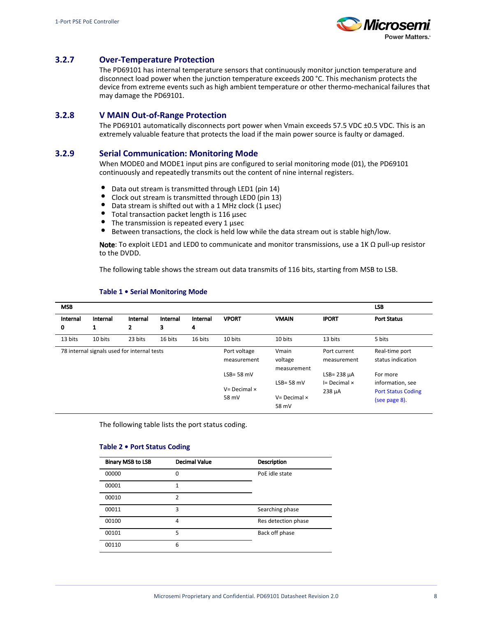

## <span id="page-10-0"></span>**3.2.7 Over-Temperature Protection**

The PD69101 has internal temperature sensors that continuously monitor junction temperature and disconnect load power when the junction temperature exceeds 200 °C. This mechanism protects the device from extreme events such as high ambient temperature or other thermo-mechanical failures that may damage the PD69101.

### <span id="page-10-1"></span>**3.2.8 V MAIN Out-of-Range Protection**

The PD69101 automatically disconnects port power when Vmain exceeds 57.5 VDC ±0.5 VDC. This is an extremely valuable feature that protects the load if the main power source is faulty or damaged.

### <span id="page-10-2"></span>**3.2.9 Serial Communication: Monitoring Mode**

When MODE0 and MODE1 input pins are configured to serial monitoring mode (01), the PD69101 continuously and repeatedly transmits out the content of nine internal registers.

- $\bullet$ Data out stream is transmitted through LED1 (pin 14)
- Clock out stream is transmitted through LED0 (pin 13)
- $\bullet$ Data stream is shifted out with a 1 MHz clock (1 µsec)
- Total transaction packet length is 116 µsec
- The transmission is repeated every 1 µsec
- $\bullet$ Between transactions, the clock is held low while the data stream out is stable high/low.

Note: To exploit LED1 and LED0 to communicate and monitor transmissions, use a 1K  $\Omega$  pull-up resistor to the DVDD.

The following table shows the stream out data transmits of 116 bits, starting from MSB to LSB.

| <b>MSB</b>    |                                             |                          |               |               |                                                |                                                |                                                     | <b>LSB</b>                                                                 |
|---------------|---------------------------------------------|--------------------------|---------------|---------------|------------------------------------------------|------------------------------------------------|-----------------------------------------------------|----------------------------------------------------------------------------|
| Internal<br>0 | Internal<br>1                               | Internal<br>$\mathbf{2}$ | Internal<br>3 | Internal<br>4 | <b>VPORT</b>                                   | <b>VMAIN</b>                                   | <b>IPORT</b>                                        | <b>Port Status</b>                                                         |
| 13 bits       | 10 bits                                     | 23 bits                  | 16 bits       | 16 bits       | 10 bits                                        | 10 bits                                        | 13 bits                                             | 5 bits                                                                     |
|               | 78 internal signals used for internal tests |                          |               |               | Port voltage<br>measurement                    | Vmain<br>voltage<br>measurement                | Port current<br>measurement                         | Real-time port<br>status indication                                        |
|               |                                             |                          |               |               | $LSB = 58$ mV<br>$V = Decimal \times$<br>58 mV | $LSB = 58$ mV<br>$V = Decimal \times$<br>58 mV | $LSB = 238 \mu A$<br>$I = Decimal \times$<br>238 µA | For more<br>information, see<br><b>Port Status Coding</b><br>(see page 8). |

#### **Table 1 • Serial Monitoring Mode**

The following table lists the port status coding.

#### <span id="page-10-3"></span>**Table 2 • Port Status Coding**

| <b>Binary MSB to LSB</b> | <b>Decimal Value</b> | <b>Description</b>  |
|--------------------------|----------------------|---------------------|
| 00000                    | 0                    | PoE idle state      |
| 00001                    | 1                    |                     |
| 00010                    | 2                    |                     |
| 00011                    | 3                    | Searching phase     |
| 00100                    | 4                    | Res detection phase |
| 00101                    | 5                    | Back off phase      |
| 00110                    | 6                    |                     |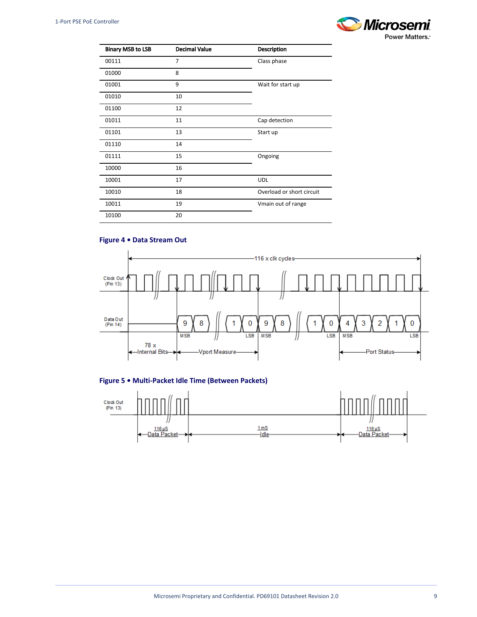

| <b>Binary MSB to LSB</b> | <b>Decimal Value</b> | <b>Description</b>        |
|--------------------------|----------------------|---------------------------|
| 00111                    | $\overline{7}$       | Class phase               |
| 01000                    | 8                    |                           |
| 01001                    | 9                    | Wait for start up         |
| 01010                    | 10                   |                           |
| 01100                    | 12                   |                           |
| 01011                    | 11                   | Cap detection             |
| 01101                    | 13                   | Start up                  |
| 01110                    | 14                   |                           |
| 01111                    | 15                   | Ongoing                   |
| 10000                    | 16                   |                           |
| 10001                    | 17                   | <b>UDL</b>                |
| 10010                    | 18                   | Overload or short circuit |
| 10011                    | 19                   | Vmain out of range        |
| 10100                    | 20                   |                           |

## **Figure 4 • Data Stream Out**





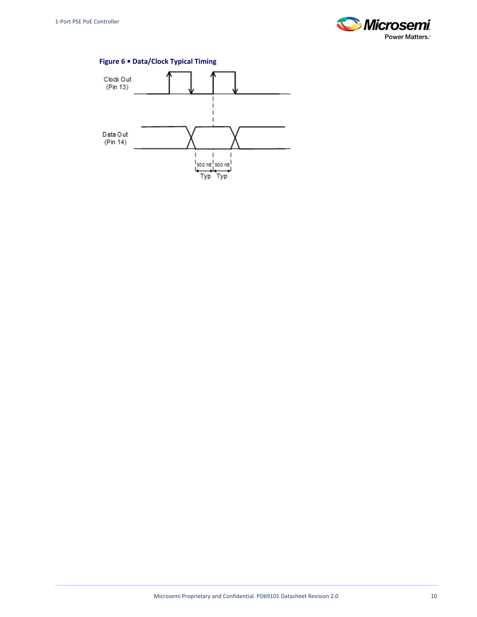



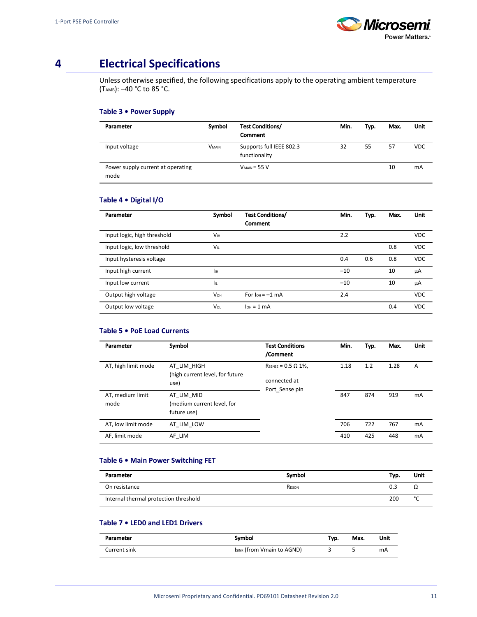

# <span id="page-13-0"></span>**4 Electrical Specifications**

Unless otherwise specified, the following specifications apply to the operating ambient temperature (TAMB): –40 °C to 85 °C.

### **Table 3 • Power Supply**

| Parameter                                 | Symbol       | <b>Test Conditions/</b><br><b>Comment</b> | Min. | Typ. | Max. | Unit       |
|-------------------------------------------|--------------|-------------------------------------------|------|------|------|------------|
| Input voltage                             | <b>VMAIN</b> | Supports full IEEE 802.3<br>functionality | 32   | 55   | 57   | <b>VDC</b> |
| Power supply current at operating<br>mode |              | $V_{MAIN} = 55 V$                         |      |      | 10   | mA         |

### **Table 4 • Digital I/O**

| Parameter                   | Symbol                | <b>Test Conditions/</b><br>Comment | Min.  | Typ. | Max. | <b>Unit</b> |
|-----------------------------|-----------------------|------------------------------------|-------|------|------|-------------|
| Input logic, high threshold | V <sub>IH</sub>       |                                    | 2.2   |      |      | <b>VDC</b>  |
| Input logic, low threshold  | VIL                   |                                    |       |      | 0.8  | <b>VDC</b>  |
| Input hysteresis voltage    |                       |                                    | 0.4   | 0.6  | 0.8  | <b>VDC</b>  |
| Input high current          | Iін                   |                                    | $-10$ |      | 10   | μA          |
| Input low current           | Iπ                    |                                    | $-10$ |      | 10   | μA          |
| Output high voltage         | <b>V<sub>OH</sub></b> | For $I_{OH} = -1$ mA               | 2.4   |      |      | <b>VDC</b>  |
| Output low voltage          | <b>Vol</b>            | $I_{OH} = 1$ mA                    |       |      | 0.4  | <b>VDC</b>  |

### **Table 5 • PoE Load Currents**

| Parameter                | Symbol                                                  | <b>Test Conditions</b><br>/Comment                          | Min. | Typ. | Max. | <b>Unit</b> |
|--------------------------|---------------------------------------------------------|-------------------------------------------------------------|------|------|------|-------------|
| AT, high limit mode      | AT LIM HIGH<br>(high current level, for future<br>use)  | RSENSE = $0.5 \Omega$ 1%,<br>connected at<br>Port Sense pin | 1.18 | 1.2  | 1.28 | A           |
| AT, medium limit<br>mode | AT LIM MID<br>(medium current level, for<br>future use) |                                                             | 847  | 874  | 919  | <b>mA</b>   |
| AT, low limit mode       | AT LIM LOW                                              |                                                             | 706  | 722  | 767  | <b>mA</b>   |
| AF, limit mode           | AF LIM                                                  |                                                             | 410  | 425  | 448  | <b>mA</b>   |

### **Table 6 • Main Power Switching FET**

| Parameter                             | Symbol            | Typ. | Unit   |
|---------------------------------------|-------------------|------|--------|
| On resistance                         | R <sub>DSON</sub> | 0.3  | ▵▵     |
| Internal thermal protection threshold |                   | 200  | $\sim$ |

## **Table 7 • LED0 and LED1 Drivers**

| Parameter    | Symbol                     | Typ. | Max. | Unit |
|--------------|----------------------------|------|------|------|
| Current sink | ISINK (from Vmain to AGND) |      |      | mA   |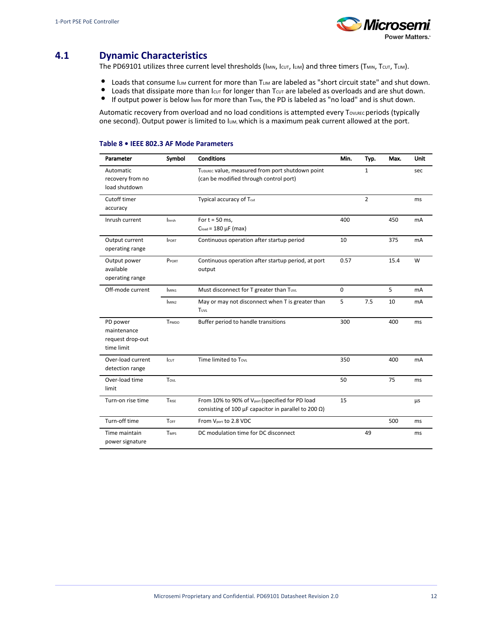

# <span id="page-14-0"></span>**4.1 Dynamic Characteristics**

The PD69101 utilizes three current level thresholds (IMIN, Icut, ILIM) and three timers (TMIN, TCUT, TLIM).

- $\bullet$ Loads that consume ILIM current for more than TLIM are labeled as "short circuit state" and shut down.
- $\bullet$ Loads that dissipate more than  $I_{\text{cut}}$  for longer than T $_{\text{cut}}$  are labeled as overloads and are shut down.
- $\bullet$ If output power is below IMIN for more than TMIN, the PD is labeled as "no load" and is shut down.

Automatic recovery from overload and no load conditions is attempted every TOVLREC periods (typically one second). Output power is limited to  $L_{IM}$ , which is a maximum peak current allowed at the port.

### **Table 8 • IEEE 802.3 AF Mode Parameters**

| Parameter                                                 | Symbol            | <b>Conditions</b>                                                                                                                | Min.        | Typ.         | Max. | Unit      |
|-----------------------------------------------------------|-------------------|----------------------------------------------------------------------------------------------------------------------------------|-------------|--------------|------|-----------|
| Automatic<br>recovery from no<br>load shutdown            |                   | TUDLREC Value, measured from port shutdown point<br>(can be modified through control port)                                       |             | $\mathbf{1}$ |      | sec       |
| Cutoff timer<br>accuracy                                  |                   | Typical accuracy of Tcut                                                                                                         |             | 2            |      | ms        |
| Inrush current                                            | linrsh            | For $t = 50$ ms,<br>$Cload = 180 \mu F$ (max)                                                                                    | 400         |              | 450  | mA        |
| Output current<br>operating range                         | <b>IPORT</b>      | Continuous operation after startup period                                                                                        | 10          |              | 375  | <b>mA</b> |
| Output power<br>available<br>operating range              | PPORT             | Continuous operation after startup period, at port<br>output                                                                     | 0.57        |              | 15.4 | W         |
| Off-mode current                                          | IMIN1             | Must disconnect for T greater than Tuvu                                                                                          | $\mathbf 0$ |              | 5    | <b>mA</b> |
|                                                           | I <sub>MIN2</sub> | May or may not disconnect when T is greater than<br><b>TUVL</b>                                                                  | 5           | 7.5          | 10   | mA        |
| PD power<br>maintenance<br>request drop-out<br>time limit | TPMDO             | Buffer period to handle transitions                                                                                              | 300         |              | 400  | ms        |
| Over-load current<br>detection range                      | <b>I</b> cut      | Time limited to Tovu                                                                                                             | 350         |              | 400  | <b>mA</b> |
| Over-load time<br>limit                                   | TovL              |                                                                                                                                  | 50          |              | 75   | ms        |
| Turn-on rise time                                         | TRISE             | From 10% to 90% of V <sub>port</sub> (specified for PD load<br>consisting of 100 $\mu$ F capacitor in parallel to 200 $\Omega$ ) | 15          |              |      | μs        |
| Turn-off time                                             | TOFF              | From V <sub>port</sub> to 2.8 VDC                                                                                                |             |              | 500  | ms        |
| Time maintain<br>power signature                          | <b>TMPS</b>       | DC modulation time for DC disconnect                                                                                             |             | 49           |      | ms        |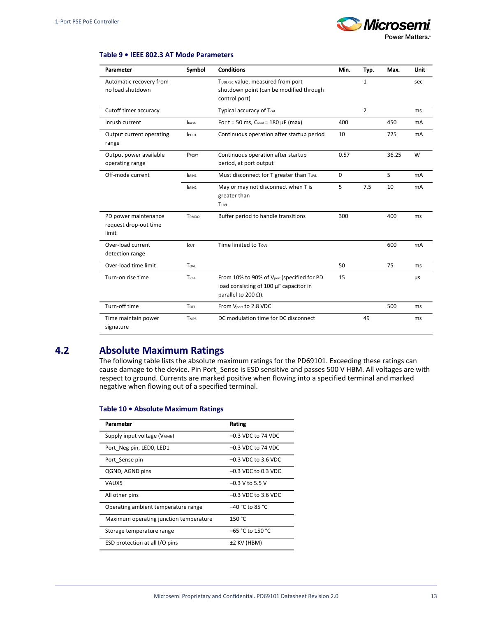

#### **Table 9 • IEEE 802.3 AT Mode Parameters**

| Parameter                                              | Symbol            | <b>Conditions</b>                                                                                                   | Min. | Typ.           | Max.  | <b>Unit</b> |
|--------------------------------------------------------|-------------------|---------------------------------------------------------------------------------------------------------------------|------|----------------|-------|-------------|
| Automatic recovery from<br>no load shutdown            |                   | TUDLREC Value, measured from port<br>shutdown point (can be modified through<br>control port)                       |      | $\mathbf{1}$   |       | sec         |
| Cutoff timer accuracy                                  |                   | Typical accuracy of Tcut                                                                                            |      | $\overline{2}$ |       | ms          |
| Inrush current                                         | <b>linrsh</b>     | For $t = 50$ ms, $C_{load} = 180 \mu F$ (max)                                                                       | 400  |                | 450   | mA          |
| Output current operating<br>range                      | <b>PORT</b>       | Continuous operation after startup period                                                                           | 10   |                | 725   | mA          |
| Output power available<br>operating range              | PPORT             | Continuous operation after startup<br>period, at port output                                                        | 0.57 |                | 36.25 | W           |
| Off-mode current                                       | MIN <sub>1</sub>  | Must disconnect for T greater than Tuvu                                                                             | 0    |                | 5     | mA          |
|                                                        | I <sub>MIN2</sub> | May or may not disconnect when T is<br>greater than<br>TUVL                                                         | 5    | 7.5            | 10    | mA          |
| PD power maintenance<br>request drop-out time<br>limit | TPMDO             | Buffer period to handle transitions                                                                                 | 300  |                | 400   | ms          |
| Over-load current<br>detection range                   | <b>I</b> cut      | Time limited to Tovu                                                                                                |      |                | 600   | mA          |
| Over-load time limit                                   | Tovu              |                                                                                                                     | 50   |                | 75    | ms          |
| Turn-on rise time                                      | TRISE             | From 10% to 90% of Vport (specified for PD<br>load consisting of 100 µF capacitor in<br>parallel to 200 $\Omega$ ). | 15   |                |       | μs          |
| Turn-off time                                          | Torr              | From Vport to 2.8 VDC                                                                                               |      |                | 500   | ms          |
| Time maintain power<br>signature                       | <b>TMPS</b>       | DC modulation time for DC disconnect                                                                                |      | 49             |       | ms          |

# <span id="page-15-0"></span>**4.2 Absolute Maximum Ratings**

The following table lists the absolute maximum ratings for the PD69101. Exceeding these ratings can cause damage to the device. Pin Port\_Sense is ESD sensitive and passes 500 V HBM. All voltages are with respect to ground. Currents are marked positive when flowing into a specified terminal and marked negative when flowing out of a specified terminal.

#### **Table 10 • Absolute Maximum Ratings**

| Parameter                                 | Rating                |
|-------------------------------------------|-----------------------|
| Supply input voltage (V <sub>MAIN</sub> ) | $-0.3$ VDC to 74 VDC  |
| Port Neg pin, LEDO, LED1                  | $-0.3$ VDC to 74 VDC  |
| Port Sense pin                            | $-0.3$ VDC to 3.6 VDC |
| QGND, AGND pins                           | $-0.3$ VDC to 0.3 VDC |
| VAUX5                                     | $-0.3$ V to 5.5 V     |
| All other pins                            | $-0.3$ VDC to 3.6 VDC |
| Operating ambient temperature range       | $-40$ °C to 85 °C     |
| Maximum operating junction temperature    | 150 °C                |
| Storage temperature range                 | -65 °C to 150 °C      |
| ESD protection at all I/O pins            | $±2$ KV (HBM)         |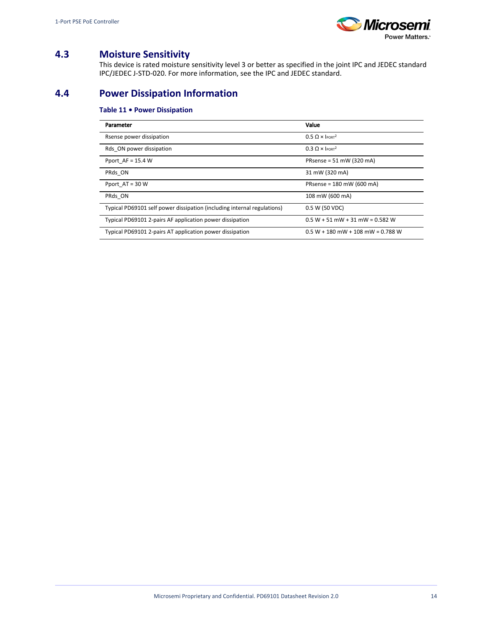

# <span id="page-16-0"></span>**4.3 Moisture Sensitivity**

This device is rated moisture sensitivity level 3 or better as specified in the joint IPC and JEDEC standard IPC/JEDEC J-STD-020. For more information, see the IPC and JEDEC standard.

# <span id="page-16-1"></span>**4.4 Power Dissipation Information**

## **Table 11 • Power Dissipation**

| Parameter                                                               | Value                                  |
|-------------------------------------------------------------------------|----------------------------------------|
| Rsense power dissipation                                                | $0.5 \Omega \times$ IPORT <sup>2</sup> |
| Rds ON power dissipation                                                | $0.3 \Omega \times$ IPORT <sup>2</sup> |
| Pport $AF = 15.4 W$                                                     | PRsense = 51 mW (320 mA)               |
| PRds ON                                                                 | 31 mW (320 mA)                         |
| Pport $AT = 30 W$                                                       | PRsense = 180 mW (600 mA)              |
| PRds ON                                                                 | 108 mW (600 mA)                        |
| Typical PD69101 self power dissipation (including internal regulations) | 0.5 W (50 VDC)                         |
| Typical PD69101 2-pairs AF application power dissipation                | $0.5 W + 51 mW + 31 mW = 0.582 W$      |
| Typical PD69101 2-pairs AT application power dissipation                | $0.5 W + 180$ mW + 108 mW = 0.788 W    |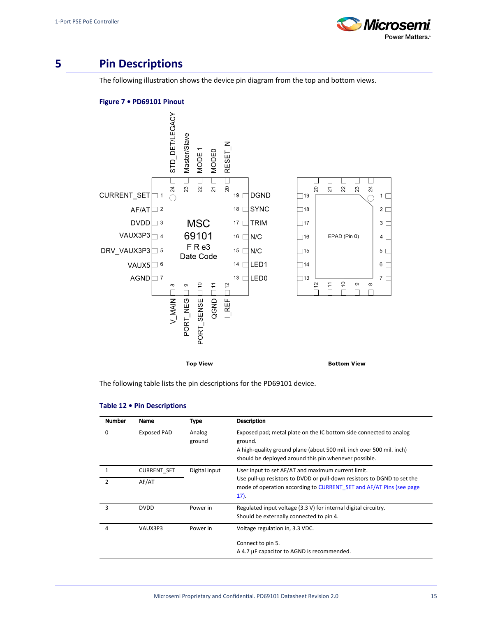

# <span id="page-17-0"></span>**5 Pin Descriptions**

The following illustration shows the device pin diagram from the top and bottom views.

#### **Figure 7 • PD69101 Pinout**



The following table lists the pin descriptions for the PD69101 device.

| <b>Number</b>      | Name                        | Type             | <b>Description</b>                                                                                                                                                                                             |
|--------------------|-----------------------------|------------------|----------------------------------------------------------------------------------------------------------------------------------------------------------------------------------------------------------------|
| 0                  | Exposed PAD                 | Analog<br>ground | Exposed pad; metal plate on the IC bottom side connected to analog<br>ground.<br>A high-quality ground plane (about 500 mil. inch over 500 mil. inch)<br>should be deployed around this pin whenever possible. |
| 1<br>$\mathcal{P}$ | <b>CURRENT SET</b><br>AF/AT | Digital input    | User input to set AF/AT and maximum current limit.<br>Use pull-up resistors to DVDD or pull-down resistors to DGND to set the                                                                                  |
|                    |                             |                  | mode of operation according to CURRENT SET and AF/AT Pins (see page<br>$17$ ).                                                                                                                                 |
| 3                  | <b>DVDD</b>                 | Power in         | Regulated input voltage (3.3 V) for internal digital circuitry.<br>Should be externally connected to pin 4.                                                                                                    |
| 4                  | VAUX3P3                     | Power in         | Voltage regulation in, 3.3 VDC.                                                                                                                                                                                |
|                    |                             |                  | Connect to pin 5.                                                                                                                                                                                              |
|                    |                             |                  | A 4.7 µF capacitor to AGND is recommended.                                                                                                                                                                     |

### **Table 12 • Pin Descriptions**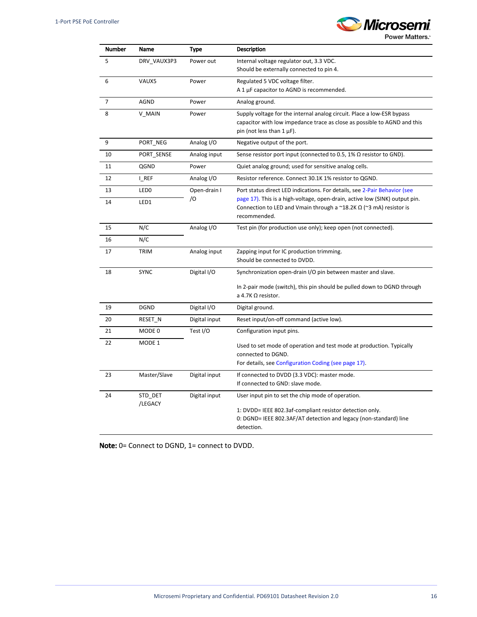

**Power Matters.** 

| <b>Number</b>  | Name               | <b>Type</b>   | <b>Description</b>                                                                                                                                                    |
|----------------|--------------------|---------------|-----------------------------------------------------------------------------------------------------------------------------------------------------------------------|
| 5              | DRV_VAUX3P3        | Power out     | Internal voltage regulator out, 3.3 VDC.                                                                                                                              |
|                |                    |               | Should be externally connected to pin 4.                                                                                                                              |
| 6              | VAUX5              | Power         | Regulated 5 VDC voltage filter.                                                                                                                                       |
|                |                    |               | A 1 µF capacitor to AGND is recommended.                                                                                                                              |
| $\overline{7}$ | <b>AGND</b>        | Power         | Analog ground.                                                                                                                                                        |
| 8              | V_MAIN             | Power         | Supply voltage for the internal analog circuit. Place a low-ESR bypass<br>capacitor with low impedance trace as close as possible to AGND and this                    |
|                |                    |               | pin (not less than $1 \mu$ F).                                                                                                                                        |
| 9              | PORT_NEG           | Analog I/O    | Negative output of the port.                                                                                                                                          |
| 10             | PORT_SENSE         | Analog input  | Sense resistor port input (connected to 0.5, 1% $\Omega$ resistor to GND).                                                                                            |
| 11             | QGND               | Power         | Quiet analog ground; used for sensitive analog cells.                                                                                                                 |
| 12             | I_REF              | Analog I/O    | Resistor reference. Connect 30.1K 1% resistor to QGND.                                                                                                                |
| 13             | LED <sub>0</sub>   | Open-drain I  | Port status direct LED indications. For details, see 2-Pair Behavior (see                                                                                             |
| 14             | LED1               | /О            | page 17). This is a high-voltage, open-drain, active low (SINK) output pin.<br>Connection to LED and Vmain through a $\sim$ 18.2K $\Omega$ ( $\sim$ 3 mA) resistor is |
|                |                    |               | recommended.                                                                                                                                                          |
| 15             | N/C                | Analog I/O    | Test pin (for production use only); keep open (not connected).                                                                                                        |
| 16             | N/C                |               |                                                                                                                                                                       |
| 17             | <b>TRIM</b>        | Analog input  | Zapping input for IC production trimming.                                                                                                                             |
|                |                    |               | Should be connected to DVDD.                                                                                                                                          |
| 18             | <b>SYNC</b>        | Digital I/O   | Synchronization open-drain I/O pin between master and slave.                                                                                                          |
|                |                    |               | In 2-pair mode (switch), this pin should be pulled down to DGND through                                                                                               |
|                |                    |               | a 4.7K $\Omega$ resistor.                                                                                                                                             |
| 19             | <b>DGND</b>        | Digital I/O   | Digital ground.                                                                                                                                                       |
| 20             | RESET N            | Digital input | Reset input/on-off command (active low).                                                                                                                              |
| 21             | MODE 0             | Test I/O      | Configuration input pins.                                                                                                                                             |
| 22             | MODE 1             |               | Used to set mode of operation and test mode at production. Typically                                                                                                  |
|                |                    |               | connected to DGND.                                                                                                                                                    |
|                |                    |               | For details, see Configuration Coding (see page 17).                                                                                                                  |
| 23             | Master/Slave       | Digital input | If connected to DVDD (3.3 VDC): master mode.                                                                                                                          |
|                |                    |               | If connected to GND: slave mode.                                                                                                                                      |
| 24             | STD_DET<br>/LEGACY | Digital input | User input pin to set the chip mode of operation.                                                                                                                     |
|                |                    |               | 1: DVDD= IEEE 802.3af-compliant resistor detection only.                                                                                                              |
|                |                    |               | 0: DGND= IEEE 802.3AF/AT detection and legacy (non-standard) line                                                                                                     |
|                |                    |               | detection.                                                                                                                                                            |

Note: 0= Connect to DGND, 1= connect to DVDD.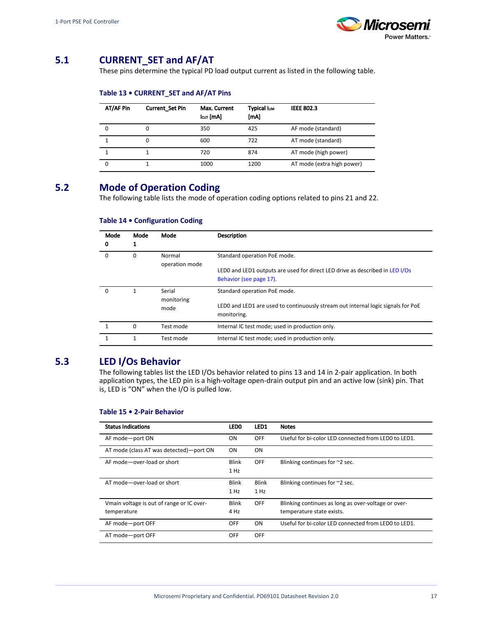

# <span id="page-19-3"></span><span id="page-19-0"></span>**5.1 CURRENT\_SET and AF/AT**

These pins determine the typical PD load output current as listed in the following table.

#### **Table 13 • CURRENT\_SET and AF/AT Pins**

| AT/AF Pin | <b>Current Set Pin</b> | Max. Current<br>Icuτ [mA] | <b>Typical lum</b><br>[mA] | <b>IEEE 802.3</b>          |
|-----------|------------------------|---------------------------|----------------------------|----------------------------|
| 0         |                        | 350                       | 425                        | AF mode (standard)         |
|           |                        | 600                       | 722                        | AT mode (standard)         |
|           |                        | 720                       | 874                        | AT mode (high power)       |
|           |                        | 1000                      | 1200                       | AT mode (extra high power) |

# <span id="page-19-5"></span><span id="page-19-1"></span>**5.2 Mode of Operation Coding**

The following table lists the mode of operation coding options related to pins 21 and 22.

| Mode<br>0 | Mode | Mode                         | <b>Description</b>                                                                                                                      |
|-----------|------|------------------------------|-----------------------------------------------------------------------------------------------------------------------------------------|
| $\Omega$  | 0    | Normal<br>operation mode     | Standard operation PoE mode.<br>LED0 and LED1 outputs are used for direct LED drive as described in LED I/Os<br>Behavior (see page 17). |
| O         |      | Serial<br>monitoring<br>mode | Standard operation PoE mode.<br>LED0 and LED1 are used to continuously stream out internal logic signals for PoE<br>monitoring.         |
|           | 0    | Test mode                    | Internal IC test mode; used in production only.                                                                                         |
|           |      | Test mode                    | Internal IC test mode; used in production only.                                                                                         |

## **Table 14 • Configuration Coding**

# <span id="page-19-4"></span><span id="page-19-2"></span>**5.3 LED I/Os Behavior**

The following tables list the LED I/Os behavior related to pins 13 and 14 in 2-pair application. In both application types, the LED pin is a high-voltage open-drain output pin and an active low (sink) pin. That is, LED is "ON" when the I/O is pulled low.

| <b>Status Indications</b>                                | LED <sub>0</sub>     | LED1                 | <b>Notes</b>                                                                     |
|----------------------------------------------------------|----------------------|----------------------|----------------------------------------------------------------------------------|
| AF mode-port ON                                          | ON                   | <b>OFF</b>           | Useful for bi-color LED connected from LED0 to LED1.                             |
| AT mode (class AT was detected)-port ON                  | <b>ON</b>            | ON                   |                                                                                  |
| AF mode-over-load or short                               | Blink<br>1 Hz        | <b>OFF</b>           | Blinking continues for ~2 sec.                                                   |
| AT mode-over-load or short                               | Blink<br>1 Hz        | <b>Blink</b><br>1 Hz | Blinking continues for $\approx$ 2 sec.                                          |
| Vmain voltage is out of range or IC over-<br>temperature | <b>Blink</b><br>4 Hz | <b>OFF</b>           | Blinking continues as long as over-voltage or over-<br>temperature state exists. |
| AF mode-port OFF                                         | <b>OFF</b>           | ON                   | Useful for bi-color LED connected from LED0 to LED1.                             |
| AT mode-port OFF                                         | <b>OFF</b>           | <b>OFF</b>           |                                                                                  |

#### **Table 15 • 2-Pair Behavior**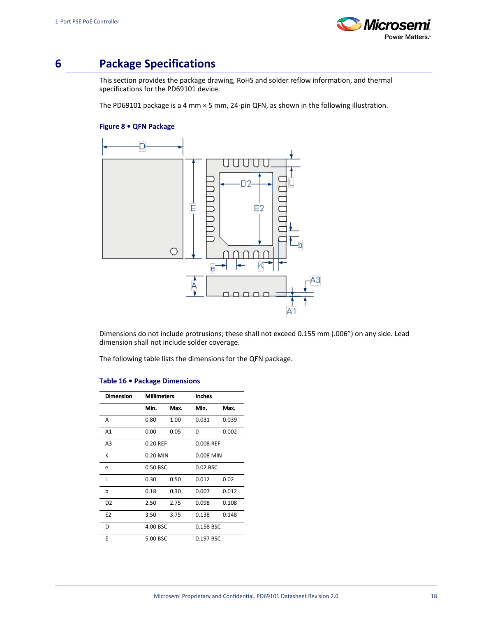

# <span id="page-20-0"></span>**6 Package Specifications**

This section provides the package drawing, RoHS and solder reflow information, and thermal specifications for the PD69101 device.

The PD69101 package is a 4 mm × 5 mm, 24-pin QFN, as shown in the following illustration.

### **Figure 8 • QFN Package**



Dimensions do not include protrusions; these shall not exceed 0.155 mm (.006") on any side. Lead dimension shall not include solder coverage.

The following table lists the dimensions for the QFN package.

| <b>Dimension</b> | <b>Millimeters</b> |      | <b>Inches</b> |           |  |
|------------------|--------------------|------|---------------|-----------|--|
|                  | Min.               | Max. | Min.          | Max.      |  |
| Α                | 0.80               | 1.00 | 0.031         | 0.039     |  |
| A1               | 0.00               | 0.05 | 0             | 0.002     |  |
| A <sub>3</sub>   | 0.20 REF           |      |               | 0.008 REF |  |
| K                | $0.20$ MIN         |      | 0.008 MIN     |           |  |
| e                | 0.50 BSC           |      | 0.02 BSC      |           |  |
| L                | 0.30               | 0.50 | 0.012         | 0.02      |  |
| b                | 0.18               | 0.30 | 0.007         | 0.012     |  |
| D <sub>2</sub>   | 2.50               | 2.75 | 0.098         | 0.108     |  |
| E <sub>2</sub>   | 3.50               | 3.75 | 0.138         | 0.148     |  |
| D                | 4.00 BSC           |      | 0.158 BSC     |           |  |
| E                | 5.00 BSC           |      | 0.197 BSC     |           |  |

#### **Table 16 • Package Dimensions**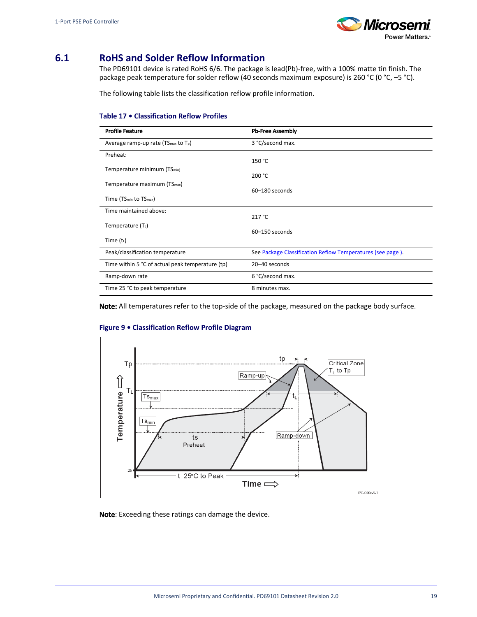

# <span id="page-21-0"></span>**6.1 RoHS and Solder Reflow Information**

The PD69101 device is rated RoHS 6/6. The package is lead(Pb)-free, with a 100% matte tin finish. The package peak temperature for solder reflow (40 seconds maximum exposure) is 260 °C (0 °C, -5 °C).

The following table lists the classification reflow profile information.

### **Table 17 • Classification Reflow Profiles**

| <b>Profile Feature</b>                                      | <b>Pb-Free Assembly</b>                                    |
|-------------------------------------------------------------|------------------------------------------------------------|
| Average ramp-up rate (TS <sub>max</sub> to T <sub>p</sub> ) | 3 °C/second max.                                           |
| Preheat:                                                    | 150 °C                                                     |
| Temperature minimum (TS <sub>min)</sub>                     | 200 °C                                                     |
| Temperature maximum (TS <sub>max</sub> )                    | 60-180 seconds                                             |
| Time (TS <sub>min</sub> to TS <sub>max</sub> )              |                                                            |
| Time maintained above:                                      | 217 °C                                                     |
| Temperature $(TL)$                                          | 60-150 seconds                                             |
| Time $(t_1)$                                                |                                                            |
| Peak/classification temperature                             | See Package Classification Reflow Temperatures (see page). |
| Time within 5 °C of actual peak temperature (tp)            | 20-40 seconds                                              |
| Ramp-down rate                                              | 6 °C/second max.                                           |
| Time 25 °C to peak temperature                              | 8 minutes max.                                             |

Note: All temperatures refer to the top-side of the package, measured on the package body surface.

#### **Figure 9 • Classification Reflow Profile Diagram**



Note: Exceeding these ratings can damage the device.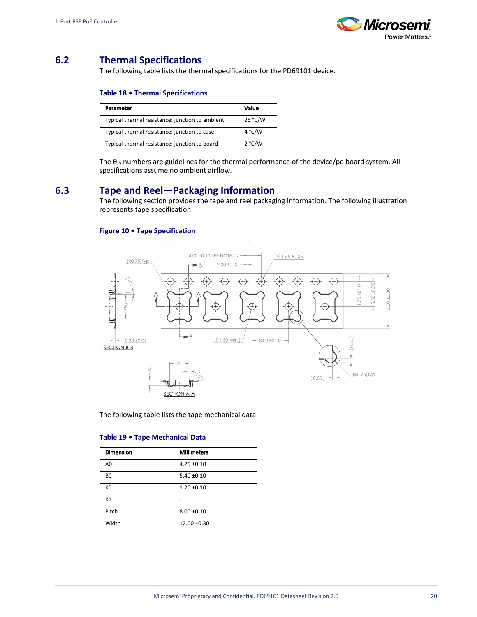

# <span id="page-22-0"></span>**6.2 Thermal Specifications**

The following table lists the thermal specifications for the PD69101 device.

### **Table 18 • Thermal Specifications**

| Parameter                                       | Value   |
|-------------------------------------------------|---------|
| Typical thermal resistance: junction to ambient | 25 °C/W |
| Typical thermal resistance: junction to case    | 4°C/W   |
| Typical thermal resistance: junction to board   | 2 °C/W  |

The θJA numbers are guidelines for the thermal performance of the device/pc-board system. All specifications assume no ambient airflow.

## <span id="page-22-1"></span>**6.3 Tape and Reel—Packaging Information**

The following section provides the tape and reel packaging information. The following illustration represents tape specification.

### **Figure 10 • Tape Specification**



The following table lists the tape mechanical data.

| <b>Dimension</b> | <b>Millimeters</b> |
|------------------|--------------------|
| A <sub>0</sub>   | $4.25 \pm 0.10$    |
| B <sub>0</sub>   | $5.40 \pm 0.10$    |
| K <sub>0</sub>   | $1.20 \pm 0.10$    |
| K1               |                    |
| Pitch            | $8.00 + 0.10$      |
| Width            | $12.00 \pm 0.30$   |
|                  |                    |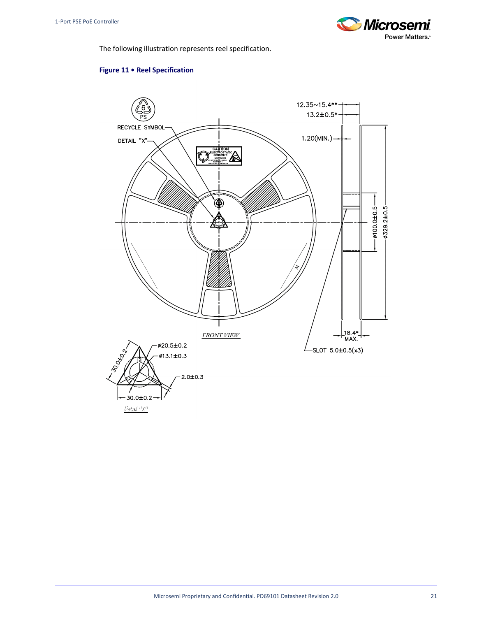

The following illustration represents reel specification.

### **Figure 11 • Reel Specification**

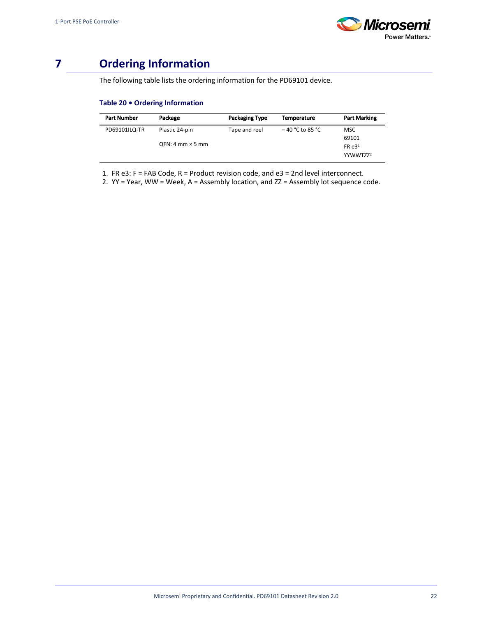

# <span id="page-24-0"></span>**7 Ordering Information**

The following table lists the ordering information for the PD69101 device.

### **Table 20 • Ordering Information**

| <b>Part Number</b> | Package                   | <b>Packaging Type</b> | <b>Temperature</b> | <b>Part Marking</b>  |
|--------------------|---------------------------|-----------------------|--------------------|----------------------|
| PD69101ILQ-TR      | Plastic 24-pin            | Tape and reel         | $-40$ °C to 85 °C  | MSC                  |
|                    |                           |                       |                    | 69101                |
|                    | $QFN: 4$ mm $\times$ 5 mm |                       |                    | FRe3 <sup>1</sup>    |
|                    |                           |                       |                    | YYWWTZZ <sup>2</sup> |

1. FR e3: F = FAB Code, R = Product revision code, and e3 = 2nd level interconnect.

2. YY = Year, WW = Week, A = Assembly location, and ZZ = Assembly lot sequence code.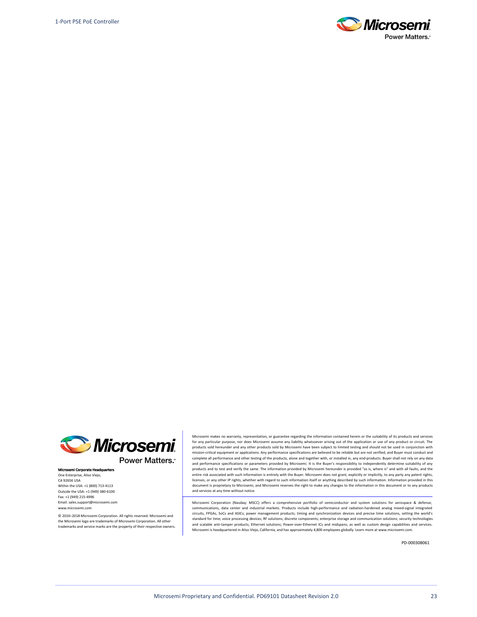



**Power Matters.**"

Microsemi Corporate Headquarters One Enterprise, Aliso Viejo, CA 92656 USA Within the USA: +1 (800) 713-4113 Outside the USA: +1 (949) 380-6100 Fax: +1 (949) 215-4996 Email: sales.support@microsemi.com www.microsemi.com

© 2010–2018 Microsemi Corporation. All rights reserved. Microsemi and the Microsemi logo are trademarks of Microsemi Corporation. All other trademarks and service marks are the property of their respective owners. Microsemi makes no warranty, representation, or guarantee regarding the information contained herein or the suitability of its products and services for any particular purpose, nor does Microsemi assume any liability whatsoever arising out of the application or use of any product or circuit. The products sold hereunder and any other products sold by Microsemi have been subject to limited testing and should not be used in conjunction with mission-critical equipment or applications. Any performance specifications are believed to be reliable but are not verified, and Buyer must conduct and complete all performance and other testing of the products, alone and together with, or installed in, any end-products. Buyer shall not rely on any data and performance specifications or parameters provided by Microsemi. It is the Buyer's responsibility to independently determine suitability of any products and to test and verify the same. The information provided by Microsemi hereunder is provided "as is, where is" and with all faults, and the entire risk associated with such information is entirely with the Buyer. Microsemi does not grant, explicitly or implicitly, to any party any patent rights, licenses, or any other IP rights, whether with regard to such information itself or anything described by such information. Information provided in this document is proprietary to Microsemi, and Microsemi reserves the right to make any changes to the information in this document or to any products and services at any time without notice.

Microsemi Corporation (Nasdaq: MSCC) offers a comprehensive portfolio of semiconductor and system solutions for aerospace & defense, communications, data center and industrial markets. Products include high-performance and radiation-hardened analog mixed-signal integrated circuits, FPGAs, SoCs and ASICs; power management products; timing and synchronization devices and precise time solutions, setting the world's standard for time; voice processing devices; RF solutions; discrete components; enterprise storage and communication solutions; security technologies and scalable anti-tamper products; Ethernet solutions; Power-over-Ethernet ICs and midspans; as well as custom design capabilities and services. Microsemi is headquartered in Aliso Viejo, California, and has approximately 4,800 employees globally. Learn more at www.microsemi.com.

PD-000308061